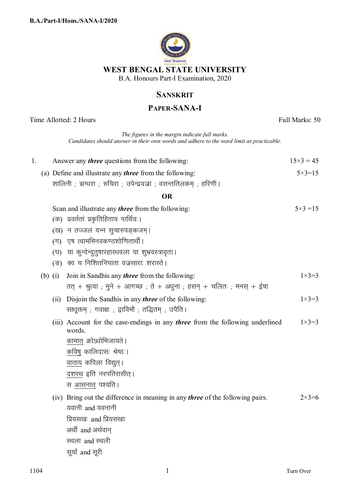

# **SANSKRIT**

## **PAPER-SANA-I**

Time Allotted: 2 Hours Full Marks: 50 *The figures in the margin indicate full marks. Candidates should answer in their own words and adhere to the word limit as practicable.* 1. Answer any *three* questions from the following:  $15 \times 3 = 45$ (a) Define and illustrate any *three* from the following: शालिनी ; स्नग्धरा ; रुचिरा ; उपेन्द्रवज्रा ; वसन्ततिलकम ; हरिणी ।  $5 \times 3 = 15$ **OR**  Scan and illustrate any *three* from the following: (क) प्रवर्ततां प्रकृतिहिताय पार्थिवः। (ख) न तज्जलं यन्न सुचारुपङकजम।  $($ ग) एष त्वामभिनवकण्ठशोणितार्थी। (घ) या कुन्देन्दुतुषारहारधवला या शुभ्रवस्त्रावृता। (ङ) क्व च निशितनिपाता वज्रसाराः शरास्ते ।  $5 \times 3 = 15$ (b) (i) Join in Sandhis any *three* from the following: तत् + श्रुत्वा ; मुने + आगच्छ ; ते + अधुना ; हसन् + चलितः ; मनस् + ईषा  $1 \times 3 = 3$  (ii) Disjoin the Sandhis in any *three* of the following: साधूक्तम् ; गवाक्षः ; द्वाविमौ ; तद्धितम् ; उपैति ।  $1 \times 3 = 3$  (iii) Account for the case-endings in any *three* from the following underlined words. कामात क्रोऽधोभिजायते । कविषु कालिदासः श्रेष्ठः । वाताय कपिला विद्युत्। <u>दशरथ</u> इति नरपतिरासीत्। स आसनात् पश्यति ।  $1 \times 3 = 3$  (iv) Bring out the difference in meaning in any *three* of the following pairs. यवानी  $% \mathbb{Z}$  and यवनानी प्रियसखः and प्रियसखा अर्थी and अर्थवान स्थला and स्थली  $2 \times 3 = 6$ 

सूर्या and सूरी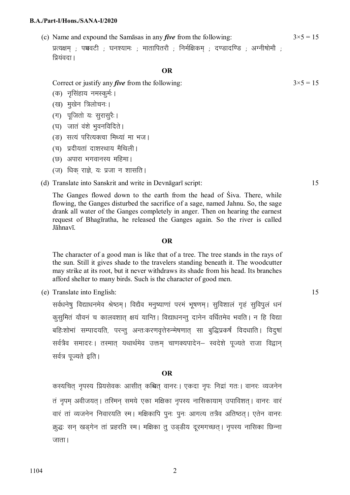#### **B.A./Part-I/Hons./SANA-I/2020**

(c) Name and expound the Samāsas in any *five* from the following: प्रत्यक्षम**ः पञ्चवटीः घनश्यामः : मातापितरौ**ः निर्मक्षिकम**ः दण्डादण्डिः अग्नीषोमौ**ः प्रियंवटा ।  $3\times5 = 15$ 

## **OR**

Correct or justify any *five* from the following:

- (क) नुसिंहाय नमस्कर्मः ।
- (ख) मुखेन त्रिलोचनः।
- (ग) पजितो यः सरासरैः ।
- (घ) जातं वंशे भवनविदिते ।
- (ङ) सत्यं परित्यक्त्वा मिथ्यां मा भज।
- (च) प्रदीयतां दाशरथाय मैथिली।
- (छ) अपारा भगवानस्य महिमा।
- (ज) धिक राज्ञे, यः प्रजा न शासति।

### (d) Translate into Sanskrit and write in Devnāgarī script: 15

 The Ganges flowed down to the earth from the head of Śiva. There, while flowing, the Ganges disturbed the sacrifice of a sage, named Jahnu. So, the sage drank all water of the Ganges completely in anger. Then on hearing the earnest request of Bhagīratha, he released the Ganges again. So the river is called Jāhnavī.

### **OR**

 The character of a good man is like that of a tree. The tree stands in the rays of the sun. Still it gives shade to the travelers standing beneath it. The woodcutter may strike at its root, but it never withdraws its shade from his head. Its branches afford shelter to many birds. Such is the character of good men.

(e) Translate into English: 15

सर्वधनेषु विद्याधनमेव श्रेष्ठम् । विद्यैव मनुष्याणां परमं भूषणम् । सुविशालं गृहं सुविपूलं धनं कुसुमितं यौवनं च कालवशात् क्षयं यान्ति । विद्याधनन्तु दानेन वर्धितमेव भवति । न हि विद्या बहिःशोभां सम्पादयति, परन्तु अन्तःकरणवृत्तेरुन्मेषणात् सा बुद्धिप्रकर्षं विदधाति। विदुषां सर्वत्रैव समादरः । तस्मात् यथार्थमेव उक्तम् चाणक्यपादेन– स्वदेशे पूज्यते राजा विद्वान् सर्वत्र पूज्यते इति ।

### **OR**

कस्यचित् नृपस्य प्रियसेवकः आसीत् कश्चित् वानरः । एकदा नृपः निद्रां गतः । वानरः व्यजनेन तं नुपम अवीजयत् । तस्मिन समये एका मक्षिका नुपस्य नासिकायाम उपाविशत् । वानरः वारं वारं तां व्यजनेन निवारयति स्म। मक्षिकापि पूनः पूनः आगत्य तत्रैव अतिष्ठत। एतेन वानरः क्र्द्धः सन् खड्गेन तां प्रहरति स्म। मक्षिका त् उड्डीय दूरमगच्छत्। नृपस्य नासिका छिन्ना  $\overline{3}$ <sub>JITH</sub>

 $3 \times 5 = 15$